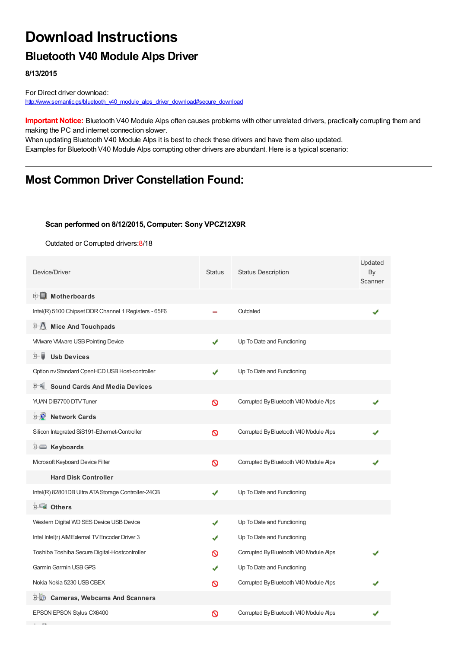## **Download Instructions**

## **Bluetooth V40 Module Alps Driver**

**8/13/2015**

For Direct driver download: [http://www.semantic.gs/bluetooth\\_v40\\_module\\_alps\\_driver\\_download#secure\\_download](http://www.semantic.gs/bluetooth_v40_module_alps_driver_download#secure_download)

**Important Notice:** Bluetooth V40 Module Alps often causes problems with other unrelated drivers, practically corrupting them and making the PC and internet connection slower.

When updating Bluetooth V40 Module Alps it is best to check these drivers and have them also updated. Examples for Bluetooth V40 Module Alps corrupting other drivers are abundant. Here is a typical scenario:

### **Most Common Driver Constellation Found:**

#### **Scan performed on 8/12/2015, Computer: Sony VPCZ12X9R**

Outdated or Corrupted drivers:8/18

| Device/Driver                                        | <b>Status</b> | <b>Status Description</b>              | Updated<br>By<br>Scanner |
|------------------------------------------------------|---------------|----------------------------------------|--------------------------|
| <b>E</b> Motherboards                                |               |                                        |                          |
| Intel(R) 5100 Chipset DDR Channel 1 Registers - 65F6 |               | Outdated                               |                          |
| <b>Mice And Touchpads</b><br>E-M                     |               |                                        |                          |
| <b>VMware VMware USB Pointing Device</b>             | ✔             | Up To Date and Functioning             |                          |
| <b>Usb Devices</b><br>⊞…≣                            |               |                                        |                          |
| Option nv Standard OpenHCD USB Host-controller       | ✔             | Up To Date and Functioning             |                          |
| <b>Sound Cards And Media Devices</b><br>甲"制          |               |                                        |                          |
| YUAN DIB7700 DTV Tuner                               | Ø             | Corrupted By Bluetooth V40 Module Alps |                          |
| <b>E</b> Network Cards                               |               |                                        |                          |
| Silicon Integrated SiS191-Ethernet-Controller        | Ø             | Corrupted By Bluetooth V40 Module Alps |                          |
| <b>E</b> Keyboards                                   |               |                                        |                          |
| Microsoft Keyboard Device Filter                     | $\infty$      | Corrupted By Bluetooth V40 Module Alps |                          |
| <b>Hard Disk Controller</b>                          |               |                                        |                          |
| Intel(R) 82801DB Ultra ATA Storage Controller-24CB   | ✔             | Up To Date and Functioning             |                          |
| <b>E</b> Others                                      |               |                                        |                          |
| Western Digital WD SES Device USB Device             | ✔             | Up To Date and Functioning             |                          |
| Intel Intel(r) AIM External TV Encoder Driver 3      | ✔             | Up To Date and Functioning             |                          |
| Toshiba Toshiba Secure Digital-Hostcontroller        | ര             | Corrupted By Bluetooth V40 Module Alps |                          |
| Garmin Garmin USB GPS                                | ✔             | Up To Date and Functioning             |                          |
| Nokia Nokia 5230 USB OBEX                            | ଷ             | Corrupted By Bluetooth V40 Module Alps |                          |
| <b>E-LO</b> Cameras, Webcams And Scanners            |               |                                        |                          |
| <b>EPSON EPSON Stylus CX6400</b>                     | ര             | Corrupted By Bluetooth V40 Module Alps |                          |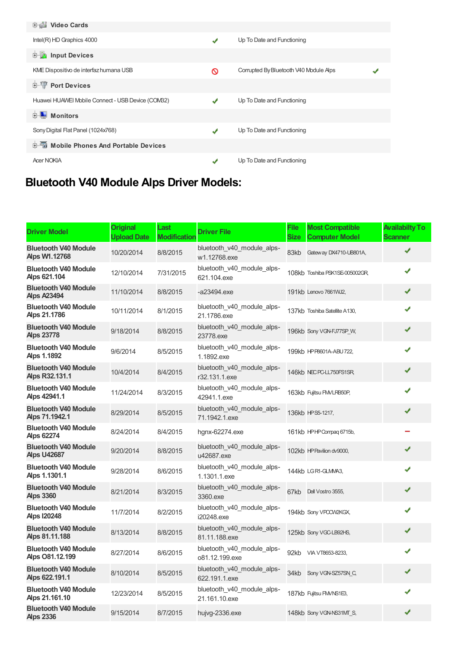| <b>电盘 Video Cards</b>                             |   |                                        |  |
|---------------------------------------------------|---|----------------------------------------|--|
| $Intel(R)$ HD Graphics 4000                       | ✔ | Up To Date and Functioning             |  |
| <b>E</b> Input Devices                            |   |                                        |  |
| KME Dispositivo de interfaz humana USB            | ଷ | Corrupted By Bluetooth V40 Module Alps |  |
| <b>E-TP</b> Port Devices                          |   |                                        |  |
| Huawei HUAWEI Mobile Connect - USB Device (COM32) | ✔ | Up To Date and Functioning             |  |
| <b>Monitors</b>                                   |   |                                        |  |
| Sony Digital Flat Panel (1024x768)                | ✔ | Up To Date and Functioning             |  |
| <b>E-6</b> Mobile Phones And Portable Devices     |   |                                        |  |
| <b>Acer NOKIA</b>                                 | √ | Up To Date and Functioning             |  |

# **Bluetooth V40 Module Alps Driver Models:**

| <b>Driver Model</b>                               | <b>Original</b><br><b>Upload Date</b> | Last<br><b>Modification</b> | <b>Driver File</b>                           | <b>File</b><br><b>Size</b> | <b>Most Compatible</b><br><b>Computer Model</b> | <b>Availabilty To</b><br><b>Scanner</b> |
|---------------------------------------------------|---------------------------------------|-----------------------------|----------------------------------------------|----------------------------|-------------------------------------------------|-----------------------------------------|
| <b>Bluetooth V40 Module</b><br>Alps W1.12768      | 10/20/2014                            | 8/8/2015                    | bluetooth_v40_module_alps-<br>w1.12768.exe   | 83kb                       | Gateway DX4710-UB801A,                          | ✔                                       |
| <b>Bluetooth V40 Module</b><br>Alps 621.104       | 12/10/2014                            | 7/31/2015                   | bluetooth_v40_module_alps-<br>621.104.exe    |                            | 108kb Toshiba PSK1SE-005002GR,                  | ✔                                       |
| <b>Bluetooth V40 Module</b><br>Alps A23494        | 11/10/2014                            | 8/8/2015                    | $-a23494,exe$                                |                            | 191kb Lenovo 7661WJ2,                           | ✔                                       |
| <b>Bluetooth V40 Module</b><br>Alps 21.1786       | 10/11/2014                            | 8/1/2015                    | bluetooth_v40_module_alps-<br>21.1786.exe    |                            | 137kb Toshiba Satellite A130,                   | ✔                                       |
| <b>Bluetooth V40 Module</b><br>Alps 23778         | 9/18/2014                             | 8/8/2015                    | bluetooth_v40_module_alps-<br>23778.exe      |                            | 196kb Sony VGN-FJ77SP_W,                        | ✔                                       |
| <b>Bluetooth V40 Module</b><br>Alps 1.1892        | 9/6/2014                              | 8/5/2015                    | bluetooth_v40_module_alps-<br>1.1892.exe     |                            | 199kb HPP8601A-ABU722,                          | ✔                                       |
| <b>Bluetooth V40 Module</b><br>Alps R32.131.1     | 10/4/2014                             | 8/4/2015                    | bluetooth v40 module alps-<br>r32.131.1.exe  |                            | 146kb NEC PC-LL750FS1SR                         | ✔                                       |
| <b>Bluetooth V40 Module</b><br>Alps 42941.1       | 11/24/2014                            | 8/3/2015                    | bluetooth_v40_module_alps-<br>42941.1.exe    |                            | 163kb Fujitsu FM/LRB50P,                        | ✔                                       |
| <b>Bluetooth V40 Module</b><br>Alps 71.1942.1     | 8/29/2014                             | 8/5/2015                    | bluetooth v40 module alps-<br>71.1942.1.exe  |                            | 136kb HPS5-1217,                                | ✔                                       |
| <b>Bluetooth V40 Module</b><br>Alps 62274         | 8/24/2014                             | 8/4/2015                    | hgnx-62274.exe                               |                            | 161kb HPHP Compaq 6715b,                        |                                         |
| <b>Bluetooth V40 Module</b><br><b>Alps U42687</b> | 9/20/2014                             | 8/8/2015                    | bluetooth v40 module alps-<br>u42687.exe     |                            | 102kb HP Pavilion dv9000,                       | ✔                                       |
| <b>Bluetooth V40 Module</b><br>Alps 1.1301.1      | 9/28/2014                             | 8/6/2015                    | bluetooth_v40_module_alps-<br>1.1301.1.exe   |                            | 144kb LGR1-GLMMA3,                              | ✔                                       |
| <b>Bluetooth V40 Module</b><br>Alps 3360          | 8/21/2014                             | 8/3/2015                    | bluetooth v40 module alps-<br>3360.exe       | 67kb                       | Dell Vostro 3555,                               | ✔                                       |
| <b>Bluetooth V40 Module</b><br>Alps I20248        | 11/7/2014                             | 8/2/2015                    | bluetooth_v40_module_alps-<br>i20248.exe     |                            | 194kb Sony VPOCW2KGX,                           | ✔                                       |
| <b>Bluetooth V40 Module</b><br>Alps 81.11.188     | 8/13/2014                             | 8/8/2015                    | bluetooth_v40_module_alps-<br>81.11.188.exe  |                            | 125kb Sony VGC-LB92HS,                          | ✔                                       |
| <b>Bluetooth V40 Module</b><br>Alps 081.12.199    | 8/27/2014                             | 8/6/2015                    | bluetooth_v40_module_alps-<br>o81.12.199.exe | 92kb                       | VIA VT8653-8233,                                | ✔                                       |
| <b>Bluetooth V40 Module</b><br>Alps 622.191.1     | 8/10/2014                             | 8/5/2015                    | bluetooth_v40_module_alps-<br>622.191.1.exe  | 34kb                       | Sony VGN-SZ57SN_C,                              | ✔                                       |
| <b>Bluetooth V40 Module</b><br>Alps 21.161.10     | 12/23/2014                            | 8/5/2015                    | bluetooth_v40_module_alps-<br>21.161.10.exe  |                            | 187kb Fujitsu FM/NS1E3,                         |                                         |
| <b>Bluetooth V40 Module</b><br><b>Aps 2336</b>    | 9/15/2014                             | 8/7/2015                    | hujvg-2336.exe                               |                            | 148kb Sony VGN-NS31MT_S,                        | ✔                                       |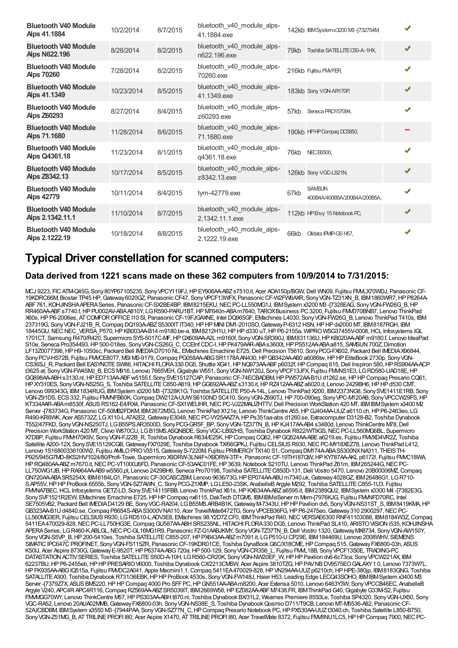| <b>Bluetooth V40 Module</b><br>Alps 41.1884        | 10/2/2014  | 8/7/2015 | bluetooth v40 module alps-<br>41.1884.exe     |      | 142kb IBM System x 3200 MB - [732754M,        |   |
|----------------------------------------------------|------------|----------|-----------------------------------------------|------|-----------------------------------------------|---|
| <b>Bluetooth V40 Module</b><br><b>Aps N622.196</b> | 8/28/2014  | 8/2/2015 | bluetooth_v40_module_alps-<br>n622.196.exe    | 79kb | Toshiba SATELLITE C50-A-1HX.                  | ✔ |
| <b>Bluetooth V40 Module</b><br>Alps 70260          | 7/28/2014  | 8/2/2015 | bluetooth v40 module alps-<br>70260.exe       |      | 216kb Fujitsu FMVFER,                         |   |
| <b>Bluetooth V40 Module</b><br>Alps 41.1349        | 10/23/2014 | 8/5/2015 | bluetooth_v40_module_alps-<br>41.1349.exe     |      | 183kb Sony VGN-AR170P,                        | ✔ |
| <b>Bluetooth V40 Module</b><br>Alps Z60293         | 8/27/2014  | 8/4/2015 | bluetooth_v40_module_alps-<br>z60293.exe      | 57kb | Seneca PRO157094.                             |   |
| <b>Bluetooth V40 Module</b><br>Alps 71.1680        | 11/28/2014 | 8/6/2015 | bluetooth_v40_module_alps-<br>71.1680.exe     |      | 190kb HPHP Compag DC5850,                     |   |
| <b>Bluetooth V40 Module</b><br>Alps Q4361.18       | 11/23/2014 | 8/1/2015 | bluetooth_v40_module_alps-<br>q4361.18.exe    | 76kb | <b>NEC E6500.</b>                             | J |
| <b>Bluetooth V40 Module</b><br>Alps Z8342.13       | 10/17/2014 | 8/5/2015 | bluetooth v40 module alps-<br>z8342.13.exe    |      | 126kb Sony VGC-LS21N,                         | ✔ |
| <b>Bluetooth V40 Module</b><br>Alps 42779          | 10/11/2014 | 8/4/2015 | tym-42779.exe                                 | 67kb | <b>SAMSUN</b><br>400B4A/400B5A/200B4A/200B5A. | ✔ |
| <b>Bluetooth V40 Module</b><br>Alps 2.1342.11.1    | 11/10/2014 | 8/7/2015 | bluetooth_v40_module_alps-<br>2.1342.11.1.exe |      | 112kb HP Envy 15 Notebook PC,                 | ✔ |
| <b>Bluetooth V40 Module</b><br>Alps 2.1222.19      | 10/18/2014 | 8/8/2015 | bluetooth v40 module alps-<br>2.1222.19.exe   | 66kb | Olidata IPMP-GS H57.                          | ✔ |

### **Typical Driver constellation for scanned computers:**

#### **Data derived from 1221 scans made on these 362 computers from 10/9/2014 to 7/31/2015:**

MCJ 9223, FIC ATM-Q45G, Sony80YP67105235, SonyVPCY119FJ, HP EY906AA-ABZs7510.it, Acer AOA150p/BGW, Dell WN09, Fujitsu FMLX70WDJ, Panasonic CF-19KDRC66M, Biostar TP45 HP,Gateway6020GZ, PanasonicCF47, SonyVPCF13WFX, PanasonicCF-W2FW6AXR, SonyVGN-TZ31XN\_B, IBM1860WR7,HPP8264A-ABF761, KOHJINSHAAPERASeries, PanasonicCF-SX2BE4BP, IBM8215EKU,NECPC-LL550MG1J, IBMSystem x3200 M3 -[7328EAG, SonyVGN-FW26G\_B,HP RR460AA-ABFs7740.f,HPPU002AV-ABAA810Y, LGR590-PARU1BT,HPM7640n-ABAm7640, TAROXBusiness PC3200, Fujitsu FMVD70BNB7, Lenovo ThinkPad X60s,HPP6-2006es, ATCOMFOROFFICEI10 SI, PanasonicCF-19FJGAXNE, Intel DQ965GF, EMachines L4030, SonyVGN-FW26G\_B, Lenovo ThinkPad T410s, IBM 237319G, SonyVGN-FJ21B\_R,Compaq DQ193A-ABZS5300ITIT340,HPHPMINIDM1-2010SO,GatewayP-6312 HSN,HPHPdx2000 MT, IBM8187RGH, IBM 18445GU, NEC NEC VERSA P570, HP KB003AA-B14 m9180.be-a, IBM8212H1U, HP HP d330 uT, HP P6-2155a, WIPRO WSG37455V-0008, HCL Infosystems IGL 1701CT, Samsung R470/R420, Supermicro SYS-5017C-MF,HPGX609AA-A2L m9160f, SonyVGN-SR390J, IBM831136U,HPKB020AA-ABFm9180.f, Lenovo IdeaPad S10e, Seneca Pro354493,HP500-018es, SonyVGN-CS26G\_C,CCEInfCDC-I,HPFK479AAR-ABAs3600t,HPPS512AA-ABAa815, SAMSUN700Z,Dimotion LF13Z0077396,HPH9-1050sc, Packard Bell IMEDIAD7010 NL, EMachines Emachine E725,Dell Precision T5610, SonyPCG-FX602, Packard Bell IMEDIAX96844, Sony PCV-HS72B, Fujitsu FM/CE80T7, MSI MS-9179, Compaq PG058AA-ABG SR1178AAN430, HP GB342AA-AB0 a6086tw, HP HP EliteBook 2730p, Sony VGN-CS36SJ\_R, Packard Bell EASYNOTE SW86, HITACHI FLORA330 DG5, Shuttle XG41, HP NQ973AA-ABF p6032f, HP Compaq 615, Dell Inspiron 580, HP RS904AA-ACP t3625.at, Sony VGN-FW45MJ\_B, ECS M916, Lenovo 7665VEH, Gigabyte W551, Sony VGN-NW120J, Sony VPCF13JFX, Fujitsu FMMNS1E3, LG RD580-UAD18E, HP GG698AA-ABHs3130.nl,HPED713AA-ABFw5155.f, SonySVE15127CAP, PanasonicCF-74ECBADBM,HPPW572AA-B1Ud1262.se,HPHPCompaq Presario CQ61, HPXY310ES, SonyVGN-NS25G\_S, Toshiba SATELLITEC850-A819,HPGG692AA-ABZs3130.it,HPRZ412AA-ABZa6020.it, Lenovo 2429BH6,HPHPd530 CMT, Lenovo 099343G, IBM1834RUG, IBMSystem x3200 M3 -[7328K1G, Toshiba SATELLITE P50-A-14L, Lenovo ThinkPad X200, IBM2373NG8, Sony SVE1411E1RB, Sony VGN-Z91DS, ECS332, Fujitsu FMVNFB60K,Compaq DW212A-UUWS6100NDSC410, SonyVGN-Z690TJ,HP700-090eg, SonyVPC-M120AB, SonyVPCCW29FS,HP KT334AAR-ABAm8530f, ASUS RS162-E4/RX4, Panasonic CF-SX1WEUHR, NEC PC-VJ22MAUZHTTV, Dell Precision WorkStation 420 MT, IBMIBMSystem x3400 M2 Server -[783734G, Panasonic CF-50MB2FDKM, IBM2672M3G, Lenovo ThinkPad X121e, Lenovo ThinkCentre A55, HP GJ404AA-UUZ a6110.ch, HP P6-2463eo, LG R490-KR8WK, Acer AS5732Z, LGX110-LA7A2E2, Gateway E3048, NEC PC-VY25AAZ7A, HP Ps351aa-abs d1260.se, Extracomputer D3128-B2, Toshiba Dynabook T552/47FKD, SonyVGN-NS250TJ, LGB55PS.AR3500D, SonyPCG-GR5F\_BP, SonyVGN-TZ37TN\_B,HPKJ417AA-AB4 s3480d, Lenovo ThinkCentre M78,Dell Precision WorkStation 420 MT, Clevo W870CU, LG B15MS.ASQNBDE, Sony VGC-LB92HS, Toshiba Dynabook R822/WT9GS, NEC PC-LL560MG6BL, Supermicro X7DBP, Fujitsu FMMH70K9V, Sony VGN-FJ22B\_R, Toshiba Dynabook R634/E25K, HP Compaq CQ62, HP GQ524AA-ABE a6219.es, Fujitsu FMXD4VR2Z, Toshiba Satellite A200-12X, Sony SVE15129CGB, Gateway FX7029E, Toshiba Dynabook TX/66GPKJ, Fujitsu CELSIUS R930, NEC PC-MY18XEZ78, Lenovo ThinkPad L412, Lenovo 1S16800336100W2, Fujitsu AMLOPRO V3515, Gateway S-7220M, Fujitsu PRIMERGY TX140 S1, Compaq DM174A-ABA S5300NX NA311, THEIS TH-P925/945G7MD-8KS2HV/1024/80/Profi-Towe, Supermicro X9DRW-3LN4F+/X9DRW-3TF+, Panasonic CF-19TH187QW, HPKY787AA-AKL p6172l, Fujitsu FMVC18WA, HPRQ480AA-ABZm7670.it, NECPC-VT1000J6FD, Panasonic CF-53AAC01FE, HP3639, Notebook S210TU, Lenovo ThinkPad Z61m, IBM265244G, NECPC-LL750WG1JB, HP RA964AA-AB9 w5560.pt, Lenovo 2429BH6, Seneca Pro70198, Toshiba SATELLITE C850D-131, Dell Vostro 5470, Lenovo 20B00006MZ, Compaq GN720AA-ABASR5254X, IBM8184LG1, PanasonicCF-30CASCZBM, Lenovo 9636/73G,HPEP074AA-ABU m7340.uk,Gateway4028GZ, IBM26486G1, LGR710- S.AP55V, HP HP ProBook 6555b, Sony VGN-SZ7AVM\_C, Sony PCG-Z1XMP, LG LE50-23SK, AnabelleB Argyle M292, Toshiba SATELLITE C855-1U3, Fujitsu FMNA7BEC, HCL Infosystems GETZ-LD, Sony SVE14115FBB, Lenovo ThinkPad X61s, HP KX634AA-ABZ a6595.it, IBM2389QU2, IBMSystem x3300 M4 -[7382E3G, SonySVF1521R2EW, EMachines Emachine E725, HP HP Compaq nx6115, DakTech DTGM5, IBMIBMeServer m Mem-[7976KJG, Fujitsu FMMFD70RC, Intel SE7505VB2, Packard Bell IMEDIAD4129 BE, Sony VGC-RA204, LG B55MS.ARB4B1K, Gateway M-7343U, HP HP Pavilion dv5, Sony VGN-NS31ST\_S, IBM8419KMA, HP GB323AA-B1U d4840.se, Compaq P8654S-ABA S3000V NA110, Acer TravelMate8472TG, Sony VPCEB36FG, HP P6-2475eo, Gateway 310 2900297, NEC PC-LL560MG3ER, Fujitsu CELSIUS R930, LG RD510-L.ADV3E8, EMachines 98.Y2D7Z.CF0, IBMThinkPad R40, NEC VERSAE6300 RNF41103088, IBM8184W3Z, Compaq 5411EA470029-828, NEC PC-LL750HG3E, Compaq GU587AA-ABH SR5235NL, HITACHI FLORA330 DG5, Lenovo ThinkPad SL410, ARISTO VISION i535, KOHJINSHA APERASeries, LGR460-K.ABLGL,NECPC-GL16MG1R9, Panasonic FZ-G1AABJKMY, SonyVGN-TZ37TN\_B,Dell Vostro 1320,GatewayMX8734, SonyVGN-AW150Y, Sony VGN-S5VP\_B, HP 200-5410es, Toshiba SATELLITE C855-207, HP PX643AA-ABZ m7091.it, LG P510-U.CP29E, IBM184469U, Lenovo 2008WHV, SIEMENS SIMATIC IPC647C PROFINET, Sony VGN-FS115ZR, Panasonic CF-19KDR01CE, Toshiba DynaBook G6C/X18CME, HP Compaq 515, Gateway FX6800-03h, ASUS K50IJ, Acer Aspire 8730G, Gateway E-9520T, HP P6374A-ABG 720a, HP 500-129, Sony VGN-CR356\_L, Fujitsu FMM\_18B, Sony VPCF13S0E, TRADING-PC DATASTATION ACTIV SERIES, Toshiba SATELLITE S50D-A-10H, LG R560-CR20K, Sony VGN-NW20EF\_W, HP HP Pavilion dv6-6c73ca, Sony VPCW221AX, IBM 62237BU,HPP6-2455eb,HPHPPRESARIOV6000, Toshiba DynabookCX/2213CMSW, Acer Aspire 3810TZG,HPPAVNBDV9575EOGALAXY1 0, Lenovo 7373W7L, HPFK935AA-ABGIQ515a, Fujitsu FMVDC2A041, Apple Macmini1,1,Compaq 5411EA470029-828,HPVN294AA-UUZp6210ch,HPHPE-380jp, IBM8183GNG, Toshiba SATALLITEA300, Toshiba DynabookR731/36EBK,HPHPProBook 4530s, SonyVGN-FW148J,Haier H53, Leading Edge LECQ43SOHO, IBMIBMSystem x3400 M3 Server -[7379Z7X, ASUSBM5220,HPHPCompaq 4000 Pro SFFPC,HPGN551AA-ABAm8200, Acer Extensa 5010, Lenovo 6463Y3W, SonyVPCCB46EC, AnabelleB Argyle V240, APC4RAPC4R116,Compaq RZ569AA-ABZSR5039IT, IBM2669W58,HPEZ082AA-ABFM7438.FR, IBMThinkPadG40,GigabyteG33M-S2, Fujitsu FMMGG70WY, Lenovo ThinkCentre M57, HP PS303AA-ABH t870.nl, Toshiba Dynabook BX31L2, Wearnes Premiere 8550Le, Toshiba SP4320, Sony VGN-UX50, Sony VGC-RA52, Lenovo 20AUA02MMB,GatewayFX6800-03h, SonyVGN-NS38E\_S, Toshiba DynabookQosmio D711/T9CB, Lenovo MT-M5536-A82, PanasonicCF-52AJCBDBM, IBMSystem x3550 M3 -[7944PAA, SonyVGN-SZ77N\_C,HPCompaq Presario Notebook PC,HPPX530AA-UUZt3040.ch, Toshiba Satellite L850-B750, Sony VGN-Z51MG\_B, AT TRILINE PROFI I80, Acer Aspire X1470, AT TRILINE PROFI I80, Acer TravelMate 8372, Fujitsu FMV8NU1LC5, HP HP Compaq 7900, NEC PC-